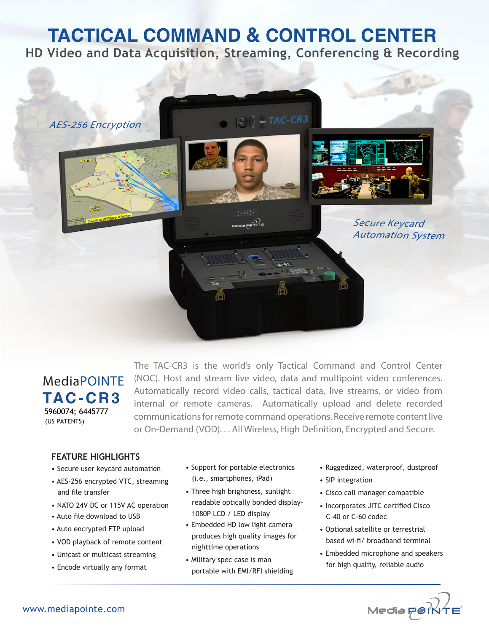# **TACTICAL COMMAND & CONTROL CENTER**

**HD Video and Data Acquisition, Streaming, Conferencing & Recording**



# MediaPOINTE **TAC-CR3** 5960074; 6445777 (US PATENTS)

The TAC-CR3 is the world's only Tactical Command and Control Center (NOC). Host and stream live video, data and multipoint video conferences. Automatically record video calls, tactical data, live streams, or video from internal or remote cameras. Automatically upload and delete recorded communications for remote command operations. Receive remote content live or On-Demand (VOD). . . All Wireless, High Definition, Encrypted and Secure.

## **FEATURE HIGHLIGHTS**

- Secure user keycard automation
- AES-256 encrypted VTC, streaming and file transfer
- NATO 24V DC or 115V AC operation
- Auto file download to USB
- Auto encrypted FTP upload
- VOD playback of remote content
- Unicast or multicast streaming
- Encode virtually any format
- Support for portable electronics (i.e., smartphones, iPad)
- Three high brightness, sunlight readable optically bonded display- 1080P LCD / LED display
- Embedded HD low light camera produces high quality images for nighttime operations
- Military spec case is man portable with EMI/RFI shielding
- Ruggedized, waterproof, dustproof
- SIP integration
- Cisco call manager compatible
- Incorporates JITC certified Cisco C-40 or C-60 codec
- Optional satellite or terrestrial based wi-fi/ broadband terminal
- Embedded microphone and speakers for high quality, reliable audio

Media port